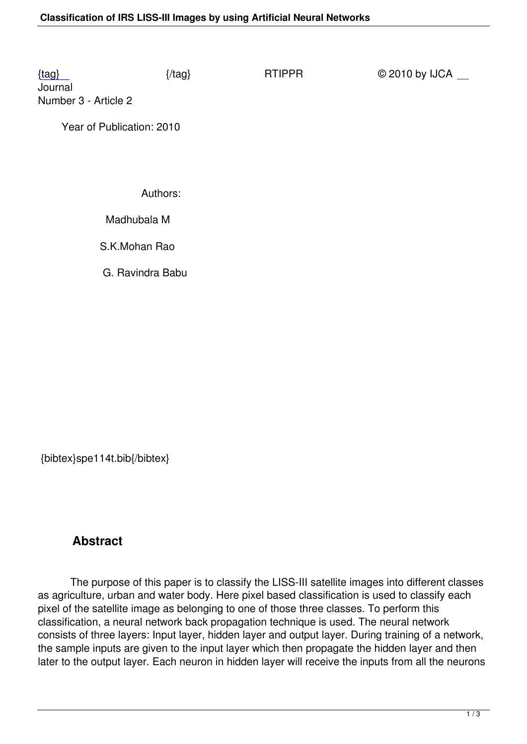Journal Number 3 - Article 2

 [Ye](/rtippr/number3/SPE114T.pdf)ar of Publication: 2010

Authors:

Madhubala M

S.K.Mohan Rao

G. Ravindra Babu

{bibtex}spe114t.bib{/bibtex}

# **Abstract**

 The purpose of this paper is to classify the LISS-III satellite images into different classes as agriculture, urban and water body. Here pixel based classification is used to classify each pixel of the satellite image as belonging to one of those three classes. To perform this classification, a neural network back propagation technique is used. The neural network consists of three layers: Input layer, hidden layer and output layer. During training of a network, the sample inputs are given to the input layer which then propagate the hidden layer and then later to the output layer. Each neuron in hidden layer will receive the inputs from all the neurons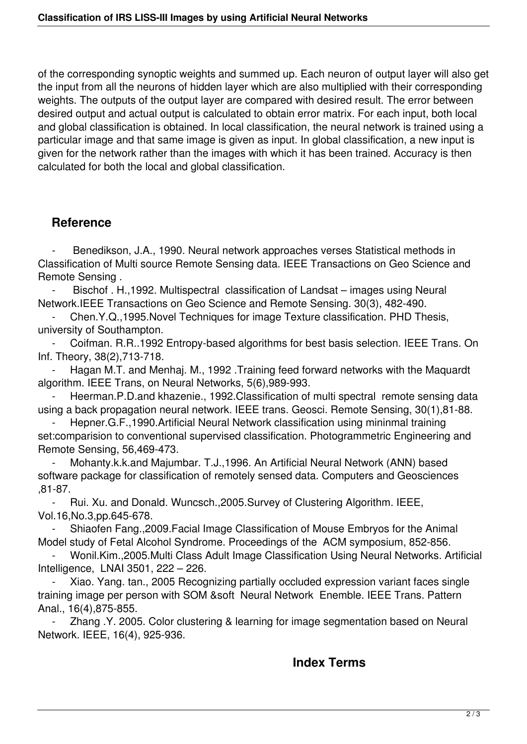of the corresponding synoptic weights and summed up. Each neuron of output layer will also get the input from all the neurons of hidden layer which are also multiplied with their corresponding weights. The outputs of the output layer are compared with desired result. The error between desired output and actual output is calculated to obtain error matrix. For each input, both local and global classification is obtained. In local classification, the neural network is trained using a particular image and that same image is given as input. In global classification, a new input is given for the network rather than the images with which it has been trained. Accuracy is then calculated for both the local and global classification.

#### **Reference**

Benedikson, J.A., 1990. Neural network approaches verses Statistical methods in Classification of Multi source Remote Sensing data. IEEE Transactions on Geo Science and Remote Sensing .

Bischof . H.,1992. Multispectral classification of Landsat – images using Neural Network.IEEE Transactions on Geo Science and Remote Sensing. 30(3), 482-490.

 - Chen.Y.Q.,1995.Novel Techniques for image Texture classification. PHD Thesis, university of Southampton.

 - Coifman. R.R..1992 Entropy-based algorithms for best basis selection. IEEE Trans. On Inf. Theory, 38(2),713-718.

 - Hagan M.T. and Menhaj. M., 1992 .Training feed forward networks with the Maquardt algorithm. IEEE Trans, on Neural Networks, 5(6),989-993.

Heerman.P.D.and khazenie., 1992.Classification of multi spectral remote sensing data using a back propagation neural network. IEEE trans. Geosci. Remote Sensing, 30(1),81-88.

Hepner.G.F.,1990.Artificial Neural Network classification using mininmal training set:comparision to conventional supervised classification. Photogrammetric Engineering and Remote Sensing, 56,469-473.

Mohanty.k.k.and Majumbar. T.J.,1996. An Artificial Neural Network (ANN) based software package for classification of remotely sensed data. Computers and Geosciences ,81-87.

 - Rui. Xu. and Donald. Wuncsch.,2005.Survey of Clustering Algorithm. IEEE, Vol.16,No.3,pp.645-678.

Shiaofen Fang., 2009. Facial Image Classification of Mouse Embryos for the Animal Model study of Fetal Alcohol Syndrome. Proceedings of the ACM symposium, 852-856.

 - Wonil.Kim.,2005.Multi Class Adult Image Classification Using Neural Networks. Artificial Intelligence, LNAI 3501, 222 – 226.

Xiao. Yang. tan., 2005 Recognizing partially occluded expression variant faces single training image per person with SOM &soft Neural Network Enemble. IEEE Trans. Pattern Anal., 16(4),875-855.

 - Zhang .Y. 2005. Color clustering & learning for image segmentation based on Neural Network. IEEE, 16(4), 925-936.

### **Index Terms**